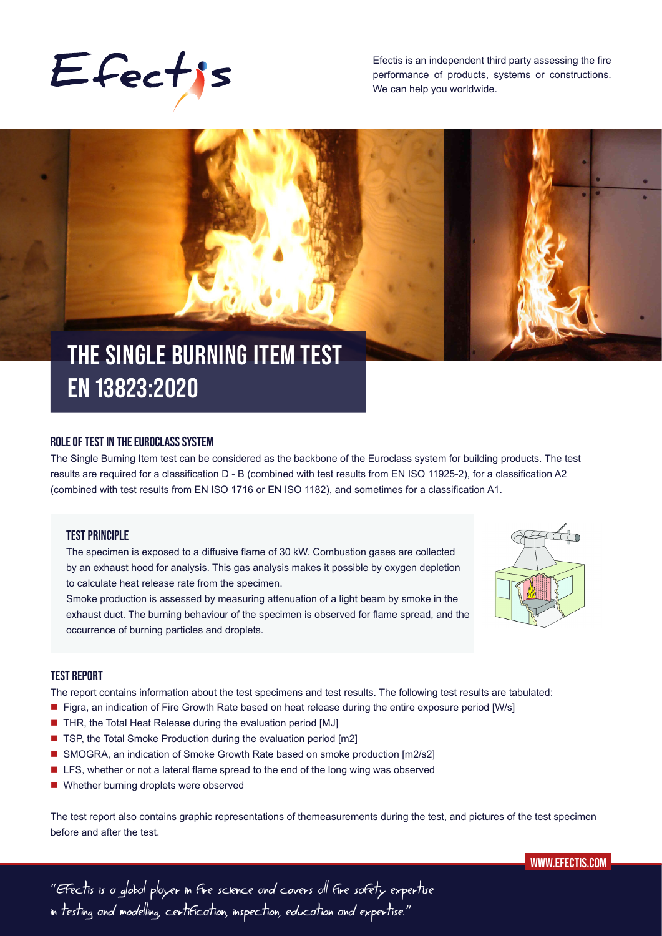

Efectis is an independent third party assessing the fire performance of products, systems or constructions. We can help you worldwide.



# **EN 13823:2020**

## **ROLE OF TEST IN THE EUROCLASS SYSTEM**

The Single Burning Item test can be considered as the backbone of the Euroclass system for building products. The test results are required for a classification D - B (combined with test results from EN ISO 11925-2), for a classification A2 (combined with test results from EN ISO 1716 or EN ISO 1182), and sometimes for a classification A1.

## **TEST PRINCIPLE**

The specimen is exposed to a diffusive flame of 30 kW. Combustion gases are collected by an exhaust hood for analysis. This gas analysis makes it possible by oxygen depletion to calculate heat release rate from the specimen.

Smoke production is assessed by measuring attenuation of a light beam by smoke in the exhaust duct. The burning behaviour of the specimen is observed for flame spread, and the occurrence of burning particles and droplets.



# **TEST REPORT**

The report contains information about the test specimens and test results. The following test results are tabulated:

- Figra, an indication of Fire Growth Rate based on heat release during the entire exposure period [W/s]
- THR, the Total Heat Release during the evaluation period [MJ]
- TSP, the Total Smoke Production during the evaluation period [m2]
- SMOGRA, an indication of Smoke Growth Rate based on smoke production [m2/s2]
- LFS, whether or not a lateral flame spread to the end of the long wing was observed
- Whether burning droplets were observed

The test report also contains graphic representations of themeasurements during the test, and pictures of the test specimen before and after the test.



"Efectis is a global player in fire science and covers all fire safety expertise in testing and modelling, certification, inspection, education and expertise."